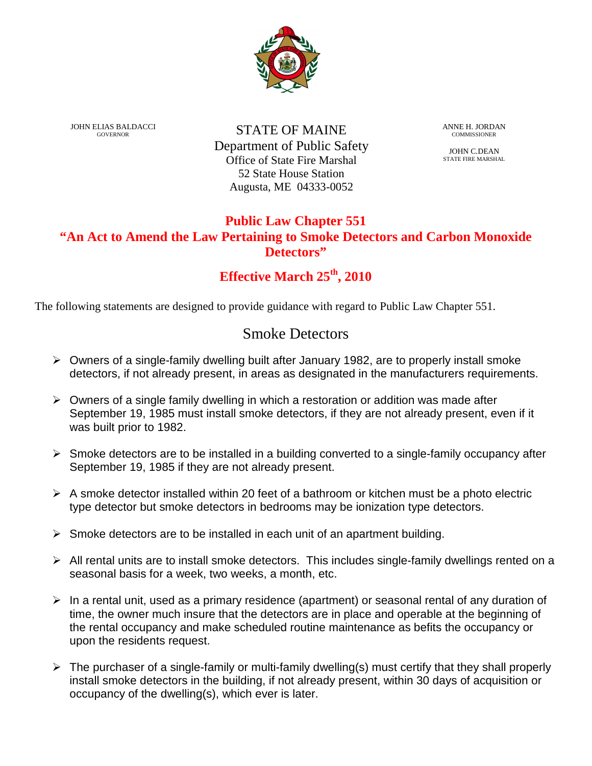

JOHN ELIAS BALDACCI GOVERNOR

STATE OF MAINE Department of Public Safety Office of State Fire Marshal 52 State House Station Augusta, ME 04333-0052

ANNE H. JORDAN **COMMISSIONER** 

JOHN C.DEAN STATE FIRE MARSHAL

### **Public Law Chapter 551 "An Act to Amend the Law Pertaining to Smoke Detectors and Carbon Monoxide Detectors"**

## **Effective March 25th, 2010**

The following statements are designed to provide guidance with regard to Public Law Chapter 551.

# Smoke Detectors

- $\triangleright$  Owners of a single-family dwelling built after January 1982, are to properly install smoke detectors, if not already present, in areas as designated in the manufacturers requirements.
- $\triangleright$  Owners of a single family dwelling in which a restoration or addition was made after September 19, 1985 must install smoke detectors, if they are not already present, even if it was built prior to 1982.
- $\triangleright$  Smoke detectors are to be installed in a building converted to a single-family occupancy after September 19, 1985 if they are not already present.
- $\triangleright$  A smoke detector installed within 20 feet of a bathroom or kitchen must be a photo electric type detector but smoke detectors in bedrooms may be ionization type detectors.
- $\triangleright$  Smoke detectors are to be installed in each unit of an apartment building.
- $\triangleright$  All rental units are to install smoke detectors. This includes single-family dwellings rented on a seasonal basis for a week, two weeks, a month, etc.
- $\triangleright$  In a rental unit, used as a primary residence (apartment) or seasonal rental of any duration of time, the owner much insure that the detectors are in place and operable at the beginning of the rental occupancy and make scheduled routine maintenance as befits the occupancy or upon the residents request.
- $\triangleright$  The purchaser of a single-family or multi-family dwelling(s) must certify that they shall properly install smoke detectors in the building, if not already present, within 30 days of acquisition or occupancy of the dwelling(s), which ever is later.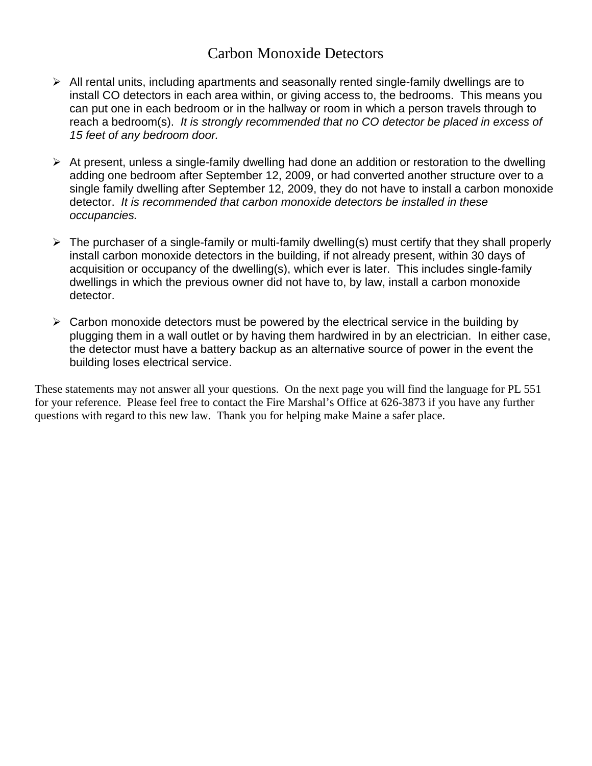## Carbon Monoxide Detectors

- $\triangleright$  All rental units, including apartments and seasonally rented single-family dwellings are to install CO detectors in each area within, or giving access to, the bedrooms. This means you can put one in each bedroom or in the hallway or room in which a person travels through to reach a bedroom(s). It is strongly recommended that no CO detector be placed in excess of 15 feet of any bedroom door.
- $\triangleright$  At present, unless a single-family dwelling had done an addition or restoration to the dwelling adding one bedroom after September 12, 2009, or had converted another structure over to a single family dwelling after September 12, 2009, they do not have to install a carbon monoxide detector. It is recommended that carbon monoxide detectors be installed in these occupancies.
- $\triangleright$  The purchaser of a single-family or multi-family dwelling(s) must certify that they shall properly install carbon monoxide detectors in the building, if not already present, within 30 days of acquisition or occupancy of the dwelling(s), which ever is later. This includes single-family dwellings in which the previous owner did not have to, by law, install a carbon monoxide detector.
- $\triangleright$  Carbon monoxide detectors must be powered by the electrical service in the building by plugging them in a wall outlet or by having them hardwired in by an electrician. In either case, the detector must have a battery backup as an alternative source of power in the event the building loses electrical service.

These statements may not answer all your questions. On the next page you will find the language for PL 551 for your reference. Please feel free to contact the Fire Marshal's Office at 626-3873 if you have any further questions with regard to this new law. Thank you for helping make Maine a safer place.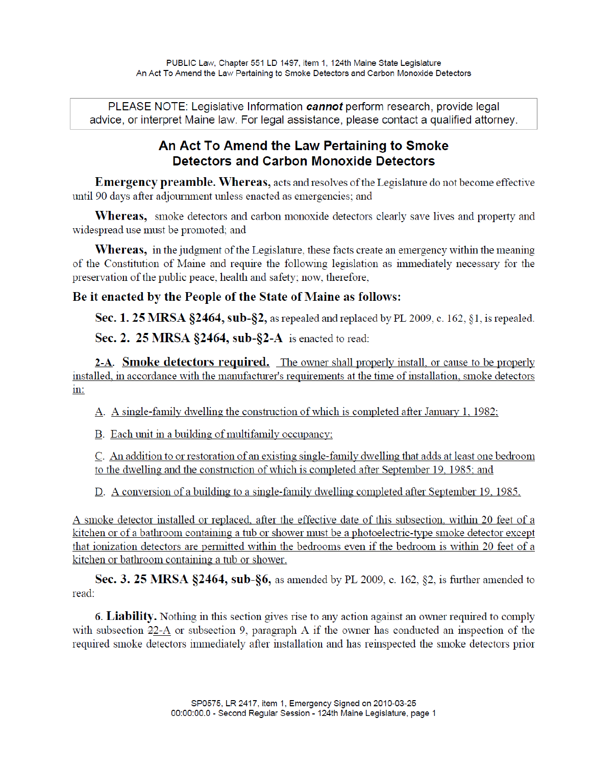PLEASE NOTE: Legislative Information cannot perform research, provide legal advice, or interpret Maine law. For legal assistance, please contact a qualified attorney.

## An Act To Amend the Law Pertaining to Smoke **Detectors and Carbon Monoxide Detectors**

**Emergency preamble. Whereas, acts and resolves of the Legislature do not become effective** until 90 days after adjournment unless enacted as emergencies; and

**Whereas,** smoke detectors and carbon monoxide detectors clearly save lives and property and widespread use must be promoted; and

**Whereas,** in the judgment of the Legislature, these facts create an emergency within the meaning of the Constitution of Maine and require the following legislation as immediately necessary for the preservation of the public peace, health and safety; now, therefore,

### Be it enacted by the People of the State of Maine as follows:

Sec. 1. 25 MRSA §2464, sub-§2, as repealed and replaced by PL 2009, c. 162, §1, is repealed.

Sec. 2. 25 MRSA  $\S$ 2464, sub- $\S$ 2-A is enacted to read:

2-A. Smoke detectors required. The owner shall properly install, or cause to be properly installed, in accordance with the manufacturer's requirements at the time of installation, smoke detectors  $\text{in}:$ 

A. A single-family dwelling the construction of which is completed after January 1, 1982;

B. Each unit in a building of multifamily occupancy;

C. An addition to or restoration of an existing single-family dwelling that adds at least one bedroom to the dwelling and the construction of which is completed after September 19, 1985; and

D. A conversion of a building to a single-family dwelling completed after September 19, 1985.

A smoke detector installed or replaced, after the effective date of this subsection, within 20 feet of a kitchen or of a bathroom containing a tub or shower must be a photoelectric-type smoke detector except that ionization detectors are permitted within the bedrooms even if the bedroom is within 20 feet of a kitchen or bathroom containing a tub or shower.

Sec. 3. 25 MRSA §2464, sub-§6, as amended by PL 2009, c. 162, §2, is further amended to read:

**6. Liability.** Nothing in this section gives rise to any action against an owner required to comply with subsection 22-A or subsection 9, paragraph A if the owner has conducted an inspection of the required smoke detectors immediately after installation and has reinspected the smoke detectors prior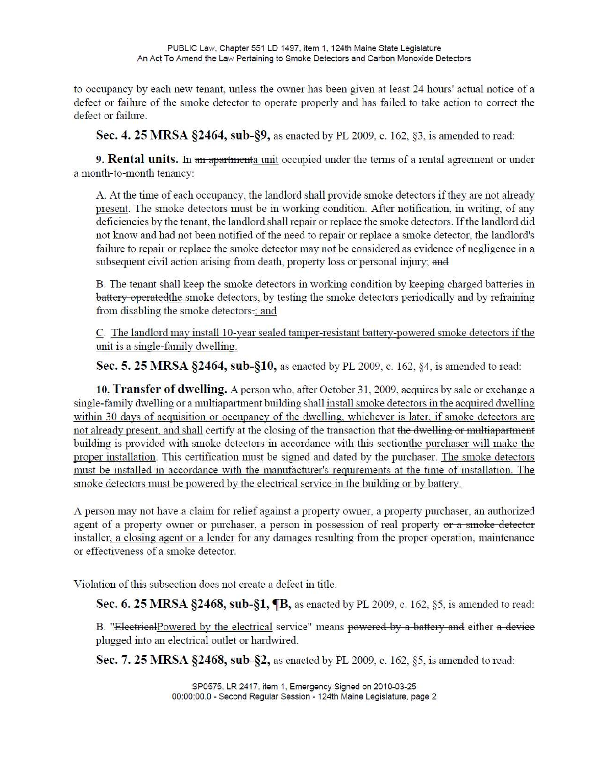to occupancy by each new tenant, unless the owner has been given at least 24 hours' actual notice of a defect or failure of the smoke detector to operate properly and has failed to take action to correct the defect or failure.

Sec. 4. 25 MRSA §2464, sub-§9, as enacted by PL 2009, c. 162, §3, is amended to read:

9. Rental units. In an apartmenta unit occupied under the terms of a rental agreement or under a month-to-month tenancy:

A. At the time of each occupancy, the landlord shall provide smoke detectors if they are not already present. The smoke detectors must be in working condition. After notification, in writing, of any deficiencies by the tenant, the landlord shall repair or replace the smoke detectors. If the landlord did not know and had not been notified of the need to repair or replace a smoke detector, the landlord's failure to repair or replace the smoke detector may not be considered as evidence of negligence in a subsequent civil action arising from death, property loss or personal injury; and

B. The tenant shall keep the smoke detectors in working condition by keeping charged batteries in battery-operated the smoke detectors, by testing the smoke detectors periodically and by refraining from disabling the smoke detectors.; and

C. The landlord may install 10-year sealed tamper-resistant battery-powered smoke detectors if the unit is a single-family dwelling.

Sec. 5. 25 MRSA §2464, sub-§10, as enacted by PL 2009, c. 162, §4, is amended to read:

10. Transfer of dwelling. A person who, after October 31, 2009, acquires by sale or exchange a single-family dwelling or a multiapartment building shall install smoke detectors in the acquired dwelling within 30 days of acquisition or occupancy of the dwelling, whichever is later, if smoke detectors are not already present, and shall certify at the closing of the transaction that the dwelling or multiapartment building is provided with smoke detectors in accordance with this section the purchaser will make the proper installation. This certification must be signed and dated by the purchaser. The smoke detectors must be installed in accordance with the manufacturer's requirements at the time of installation. The smoke detectors must be powered by the electrical service in the building or by battery.

A person may not have a claim for relief against a property owner, a property purchaser, an authorized agent of a property owner or purchaser, a person in possession of real property or a smoke detector installer, a closing agent or a lender for any damages resulting from the proper operation, maintenance or effectiveness of a smoke detector.

Violation of this subsection does not create a defect in title.

Sec. 6. 25 MRSA §2468, sub-§1, **[B**, as enacted by PL 2009, c. 162, §5, is amended to read:

B. "ElectricalPowered by the electrical service" means powered by a battery and either a device plugged into an electrical outlet or hardwired.

Sec. 7. 25 MRSA §2468, sub-§2, as enacted by PL 2009, c. 162, §5, is amended to read: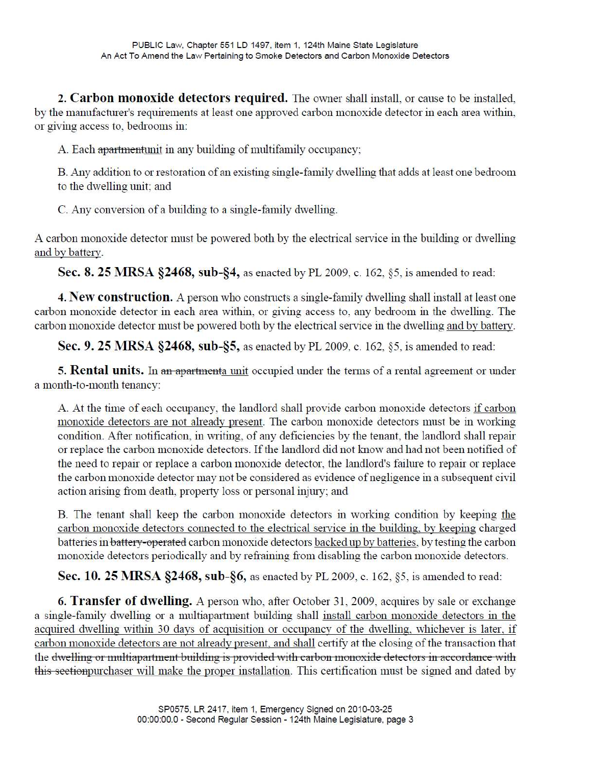2. Carbon monoxide detectors required. The owner shall install, or cause to be installed, by the manufacturer's requirements at least one approved carbon monoxide detector in each area within, or giving access to, bedrooms in:

A. Each apartmentunit in any building of multifamily occupancy;

B. Any addition to or restoration of an existing single-family dwelling that adds at least one bedroom to the dwelling unit; and

C. Any conversion of a building to a single-family dwelling.

A carbon monoxide detector must be powered both by the electrical service in the building or dwelling and by battery.

Sec. 8. 25 MRSA §2468, sub-§4, as enacted by PL 2009, c. 162, §5, is amended to read:

**4. New construction.** A person who constructs a single-family dwelling shall install at least one carbon monoxide detector in each area within, or giving access to, any bedroom in the dwelling. The carbon monoxide detector must be powered both by the electrical service in the dwelling and by battery.

Sec. 9. 25 MRSA §2468, sub-§5, as enacted by PL 2009, c. 162, §5, is amended to read:

5. **Rental units.** In an apartmenta unit occupied under the terms of a rental agreement or under a month-to-month tenancy:

A. At the time of each occupancy, the landlord shall provide carbon monoxide detectors if carbon monoxide detectors are not already present. The carbon monoxide detectors must be in working condition. After notification, in writing, of any deficiencies by the tenant, the landlord shall repair or replace the carbon monoxide detectors. If the landlord did not know and had not been notified of the need to repair or replace a carbon monoxide detector, the landlord's failure to repair or replace the carbon monoxide detector may not be considered as evidence of negligence in a subsequent civil action arising from death, property loss or personal injury; and

B. The tenant shall keep the carbon monoxide detectors in working condition by keeping the carbon monoxide detectors connected to the electrical service in the building, by keeping charged batteries in battery-operated carbon monoxide detectors backed up by batteries, by testing the carbon monoxide detectors periodically and by refraining from disabling the carbon monoxide detectors.

Sec. 10. 25 MRSA §2468, sub-§6, as enacted by PL 2009, c. 162, §5, is amended to read:

6. Transfer of dwelling. A person who, after October 31, 2009, acquires by sale or exchange a single-family dwelling or a multiapartment building shall install carbon monoxide detectors in the acquired dwelling within 30 days of acquisition or occupancy of the dwelling, whichever is later, if carbon monoxide detectors are not already present, and shall certify at the closing of the transaction that the dwelling or multiapartment building is provided with carbon monoxide detectors in accordance with this section purchaser will make the proper installation. This certification must be signed and dated by